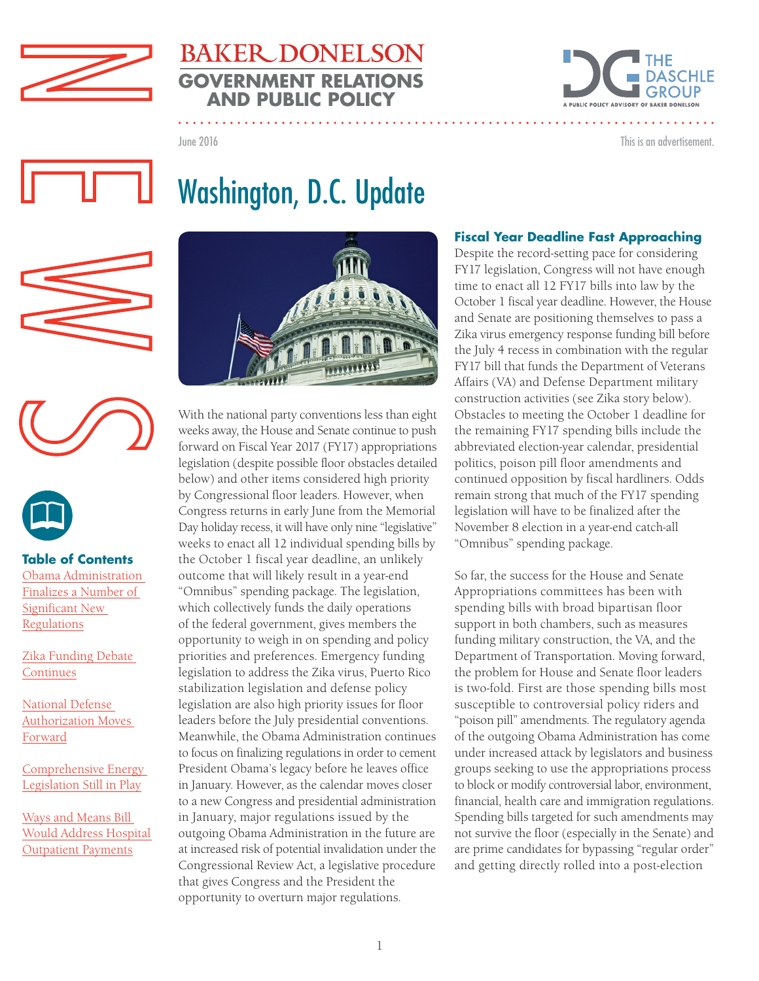



This is an advertisement.

June 2016

# Washington, D.C. Update





### **Table of Contents**

[Obama Administration](#page-1-0)  [Finalizes a Number of](#page-1-0)  [Significant New](#page-1-0)  [Regulations](#page-1-0)

[Zika Funding Debate](#page-2-0)  [Continues](#page-2-0)

[National Defense](#page-2-0)  [Authorization Moves](#page-2-0)  [Forward](#page-2-0)

[Comprehensive Energy](#page-3-0)  [Legislation Still in Play](#page-3-0)

[Ways and Means Bill](#page-3-0)  [Would Address Hospital](#page-3-0)  [Outpatient Payments](#page-3-0)



With the national party conventions less than eight weeks away, the House and Senate continue to push forward on Fiscal Year 2017 (FY17) appropriations legislation (despite possible floor obstacles detailed below) and other items considered high priority by Congressional floor leaders. However, when Congress returns in early June from the Memorial Day holiday recess, it will have only nine "legislative" weeks to enact all 12 individual spending bills by the October 1 fiscal year deadline, an unlikely outcome that will likely result in a year-end "Omnibus" spending package. The legislation, which collectively funds the daily operations of the federal government, gives members the opportunity to weigh in on spending and policy priorities and preferences. Emergency funding legislation to address the Zika virus, Puerto Rico stabilization legislation and defense policy legislation are also high priority issues for floor leaders before the July presidential conventions. Meanwhile, the Obama Administration continues to focus on finalizing regulations in order to cement President Obama's legacy before he leaves office in January. However, as the calendar moves closer to a new Congress and presidential administration in January, major regulations issued by the outgoing Obama Administration in the future are at increased risk of potential invalidation under the Congressional Review Act, a legislative procedure that gives Congress and the President the opportunity to overturn major regulations.

### **Fiscal Year Deadline Fast Approaching**

Despite the record-setting pace for considering FY17 legislation, Congress will not have enough time to enact all 12 FY17 bills into law by the October 1 fiscal year deadline. However, the House and Senate are positioning themselves to pass a Zika virus emergency response funding bill before the July 4 recess in combination with the regular FY17 bill that funds the Department of Veterans Affairs (VA) and Defense Department military construction activities (see Zika story below). Obstacles to meeting the October 1 deadline for the remaining FY17 spending bills include the abbreviated election-year calendar, presidential politics, poison pill floor amendments and continued opposition by fiscal hardliners. Odds remain strong that much of the FY17 spending legislation will have to be finalized after the November 8 election in a year-end catch-all "Omnibus" spending package.

So far, the success for the House and Senate Appropriations committees has been with spending bills with broad bipartisan floor support in both chambers, such as measures funding military construction, the VA, and the Department of Transportation. Moving forward, the problem for House and Senate floor leaders is two-fold. First are those spending bills most susceptible to controversial policy riders and "poison pill" amendments. The regulatory agenda of the outgoing Obama Administration has come under increased attack by legislators and business groups seeking to use the appropriations process to block or modify controversial labor, environment, financial, health care and immigration regulations. Spending bills targeted for such amendments may not survive the floor (especially in the Senate) and are prime candidates for bypassing "regular order" and getting directly rolled into a post-election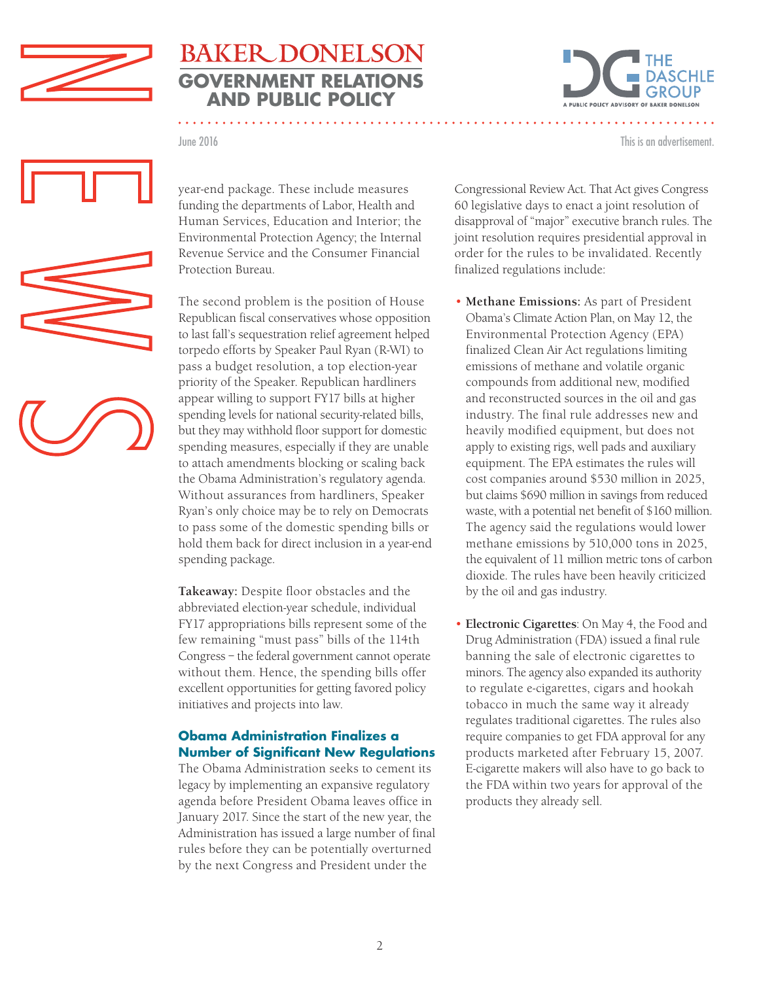<span id="page-1-0"></span>



This is an advertisement.

June 2016



The second problem is the position of House Republican fiscal conservatives whose opposition to last fall's sequestration relief agreement helped torpedo efforts by Speaker Paul Ryan (R-WI) to pass a budget resolution, a top election-year priority of the Speaker. Republican hardliners appear willing to support FY17 bills at higher spending levels for national security-related bills, but they may withhold floor support for domestic spending measures, especially if they are unable to attach amendments blocking or scaling back the Obama Administration's regulatory agenda. Without assurances from hardliners, Speaker Ryan's only choice may be to rely on Democrats to pass some of the domestic spending bills or hold them back for direct inclusion in a year-end spending package.

**Takeaway:** Despite floor obstacles and the abbreviated election-year schedule, individual FY17 appropriations bills represent some of the few remaining "must pass" bills of the 114th Congress – the federal government cannot operate without them. Hence, the spending bills offer excellent opportunities for getting favored policy initiatives and projects into law.

### **Obama Administration Finalizes a Number of Significant New Regulations**

The Obama Administration seeks to cement its legacy by implementing an expansive regulatory agenda before President Obama leaves office in January 2017. Since the start of the new year, the Administration has issued a large number of final rules before they can be potentially overturned by the next Congress and President under the

Congressional Review Act. That Act gives Congress 60 legislative days to enact a joint resolution of disapproval of "major" executive branch rules. The joint resolution requires presidential approval in order for the rules to be invalidated. Recently finalized regulations include:

- **Methane Emissions:** As part of President Obama's Climate Action Plan, on May 12, the Environmental Protection Agency (EPA) finalized Clean Air Act regulations limiting emissions of methane and volatile organic compounds from additional new, modified and reconstructed sources in the oil and gas industry. The final rule addresses new and heavily modified equipment, but does not apply to existing rigs, well pads and auxiliary equipment. The EPA estimates the rules will cost companies around \$530 million in 2025, but claims \$690 million in savings from reduced waste, with a potential net benefit of \$160 million. The agency said the regulations would lower methane emissions by 510,000 tons in 2025, the equivalent of 11 million metric tons of carbon dioxide. The rules have been heavily criticized by the oil and gas industry.
- **Electronic Cigarettes**: On May 4, the Food and Drug Administration (FDA) issued a final rule banning the sale of electronic cigarettes to minors. The agency also expanded its authority to regulate e-cigarettes, cigars and hookah tobacco in much the same way it already regulates traditional cigarettes. The rules also require companies to get FDA approval for any products marketed after February 15, 2007. E-cigarette makers will also have to go back to the FDA within two years for approval of the products they already sell.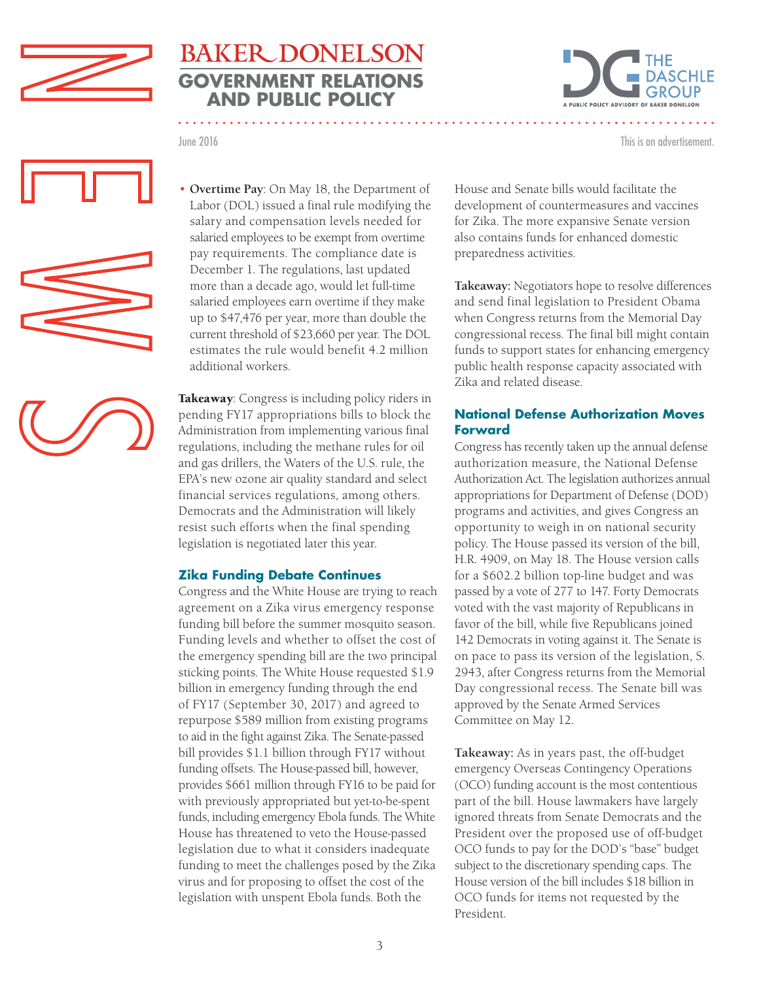<span id="page-2-0"></span>



June 2016 This is an advertisement.







• **Overtime Pay**: On May 18, the Department of Labor (DOL) issued a final rule modifying the salary and compensation levels needed for salaried employees to be exempt from overtime pay requirements. The compliance date is December 1. The regulations, last updated more than a decade ago, would let full-time salaried employees earn overtime if they make up to \$47,476 per year, more than double the current threshold of \$23,660 per year. The DOL estimates the rule would benefit 4.2 million additional workers.

Takeaway: Congress is including policy riders in pending FY17 appropriations bills to block the Administration from implementing various final regulations, including the methane rules for oil and gas drillers, the Waters of the U.S. rule, the EPA's new ozone air quality standard and select financial services regulations, among others. Democrats and the Administration will likely resist such efforts when the final spending legislation is negotiated later this year.

#### **Zika Funding Debate Continues**

Congress and the White House are trying to reach agreement on a Zika virus emergency response funding bill before the summer mosquito season. Funding levels and whether to offset the cost of the emergency spending bill are the two principal sticking points. The White House requested \$1.9 billion in emergency funding through the end of FY17 (September 30, 2017) and agreed to repurpose \$589 million from existing programs to aid in the fight against Zika. The Senate-passed bill provides \$1.1 billion through FY17 without funding offsets. The House-passed bill, however, provides \$661 million through FY16 to be paid for with previously appropriated but yet-to-be-spent funds, including emergency Ebola funds. The White House has threatened to veto the House-passed legislation due to what it considers inadequate funding to meet the challenges posed by the Zika virus and for proposing to offset the cost of the legislation with unspent Ebola funds. Both the

House and Senate bills would facilitate the development of countermeasures and vaccines for Zika. The more expansive Senate version also contains funds for enhanced domestic preparedness activities.

**Takeaway:** Negotiators hope to resolve differences and send final legislation to President Obama when Congress returns from the Memorial Day congressional recess. The final bill might contain funds to support states for enhancing emergency public health response capacity associated with Zika and related disease.

#### **National Defense Authorization Moves Forward**

Congress has recently taken up the annual defense authorization measure, the National Defense Authorization Act. The legislation authorizes annual appropriations for Department of Defense (DOD) programs and activities, and gives Congress an opportunity to weigh in on national security policy. The House passed its version of the bill, H.R. 4909, on May 18. The House version calls for a \$602.2 billion top-line budget and was passed by a vote of 277 to 147. Forty Democrats voted with the vast majority of Republicans in favor of the bill, while five Republicans joined 142 Democrats in voting against it. The Senate is on pace to pass its version of the legislation, S. 2943, after Congress returns from the Memorial Day congressional recess. The Senate bill was approved by the Senate Armed Services Committee on May 12.

**Takeaway:** As in years past, the off-budget emergency Overseas Contingency Operations (OCO) funding account is the most contentious part of the bill. House lawmakers have largely ignored threats from Senate Democrats and the President over the proposed use of off-budget OCO funds to pay for the DOD's "base" budget subject to the discretionary spending caps. The House version of the bill includes \$18 billion in OCO funds for items not requested by the President.